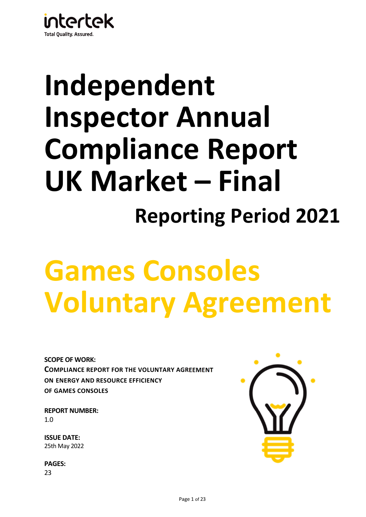

## **Independent Inspector Annual Compliance Report UK Market – Final Reporting Period 2021**

# **Games Consoles Voluntary Agreement**

**SCOPE OF WORK: COMPLIANCE REPORT FOR THE VOLUNTARY AGREEMENT ON ENERGY AND RESOURCE EFFICIENCY OF GAMES CONSOLES**

**REPORT NUMBER:** 1.0

**ISSUE DATE:**  25th May 2022

**PAGES:**  23

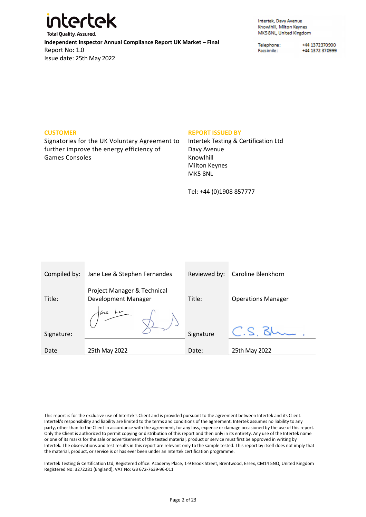

Intertek, Davy Avenue Knowlhill, Milton Keynes MK5 8NL, United Kingdom

Telephone: Facsimile:

+44 1372370900 +44 1372 370999

#### **CUSTOMER**

Signatories for the UK Voluntary Agreement to further improve the energy efficiency of Games Consoles

#### **REPORT ISSUED BY**

Intertek Testing & Certification Ltd Davy Avenue Knowlhill Milton Keynes MK5 8NL

Tel: +44 (0)1908 857777

| Compiled by: | Jane Lee & Stephen Fernandes                       | Reviewed by: | Caroline Blenkhorn        |
|--------------|----------------------------------------------------|--------------|---------------------------|
| Title:       | Project Manager & Technical<br>Development Manager | Title:       | <b>Operations Manager</b> |
|              | are Le                                             |              |                           |
| Signature:   |                                                    | Signature    |                           |
|              |                                                    |              |                           |
| Date         | 25th May 2022                                      | Date:        | 25th May 2022             |

This report is for the exclusive use of Intertek's Client and is provided pursuant to the agreement between Intertek and its Client. Intertek's responsibility and liability are limited to the terms and conditions of the agreement. Intertek assumes no liability to any party, other than to the Client in accordance with the agreement, for any loss, expense or damage occasioned by the use of this report. Only the Client is authorized to permit copying or distribution of this report and then only in its entirety. Any use of the Intertek name or one of its marks for the sale or advertisement of the tested material, product or service must first be approved in writing by Intertek. The observations and test results in this report are relevant only to the sample tested. This report by itself does not imply that the material, product, or service is or has ever been under an Intertek certification programme.

Intertek Testing & Certification Ltd, Registered office: Academy Place, 1-9 Brook Street, Brentwood, Essex, CM14 5NQ, United Kingdom Registered No: 3272281 (England), VAT No: GB 672-7639-96-011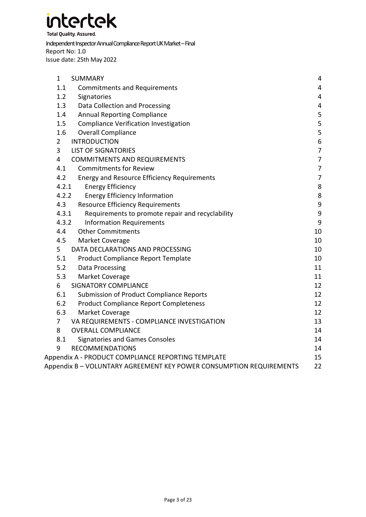**Total Quality. Assured.** 

#### Independent Inspector Annual Compliance Report UK Market – Final Report No: 1.0 Issue date: 25th May 2022

| $\mathbf{1}$<br><b>SUMMARY</b>                                      | 4                |
|---------------------------------------------------------------------|------------------|
| 1.1<br><b>Commitments and Requirements</b>                          | 4                |
| 1.2<br>Signatories                                                  | 4                |
| 1.3<br>Data Collection and Processing                               | $\overline{4}$   |
| 1.4<br><b>Annual Reporting Compliance</b>                           | 5                |
| 1.5<br>Compliance Verification Investigation                        | 5                |
| 1.6<br><b>Overall Compliance</b>                                    | 5                |
| <b>INTRODUCTION</b><br>$\overline{2}$                               | 6                |
| 3<br><b>LIST OF SIGNATORIES</b>                                     | $\overline{7}$   |
| 4<br><b>COMMITMENTS AND REQUIREMENTS</b>                            | $\overline{7}$   |
| 4.1<br><b>Commitments for Review</b>                                | $\overline{7}$   |
| 4.2<br><b>Energy and Resource Efficiency Requirements</b>           | $\overline{7}$   |
| 4.2.1<br><b>Energy Efficiency</b>                                   | 8                |
| 4.2.2<br><b>Energy Efficiency Information</b>                       | $\bf 8$          |
| 4.3<br><b>Resource Efficiency Requirements</b>                      | $\mathsf 9$      |
| 4.3.1<br>Requirements to promote repair and recyclability           | $\boldsymbol{9}$ |
| 4.3.2<br><b>Information Requirements</b>                            | 9                |
| 4.4<br><b>Other Commitments</b>                                     | 10               |
| 4.5<br>Market Coverage                                              | 10               |
| 5<br>DATA DECLARATIONS AND PROCESSING                               | 10               |
| 5.1<br>Product Compliance Report Template                           | 10               |
| 5.2<br>Data Processing                                              | 11               |
| 5.3<br>Market Coverage                                              | 11               |
| 6<br><b>SIGNATORY COMPLIANCE</b>                                    | 12               |
| 6.1<br>Submission of Product Compliance Reports                     | 12               |
| 6.2<br><b>Product Compliance Report Completeness</b>                | 12               |
| 6.3<br>Market Coverage                                              | 12               |
| $\overline{7}$<br>VA REQUIREMENTS - COMPLIANCE INVESTIGATION        | 13               |
| 8<br><b>OVERALL COMPLIANCE</b>                                      | 14               |
| 8.1<br><b>Signatories and Games Consoles</b>                        | 14               |
| 9<br><b>RECOMMENDATIONS</b>                                         | 14               |
| Appendix A - PRODUCT COMPLIANCE REPORTING TEMPLATE                  | 15               |
| Appendix B - VOLUNTARY AGREEMENT KEY POWER CONSUMPTION REQUIREMENTS | 22               |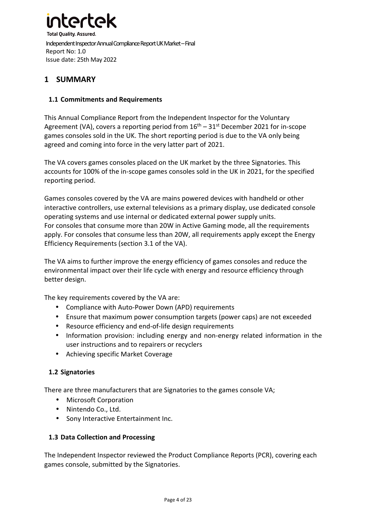

#### **1 SUMMARY**

#### **1.1 Commitments and Requirements**

This Annual Compliance Report from the Independent Inspector for the Voluntary Agreement (VA), covers a reporting period from  $16<sup>th</sup> - 31<sup>st</sup>$  December 2021 for in-scope games consoles sold in the UK. The short reporting period is due to the VA only being agreed and coming into force in the very latter part of 2021.

The VA covers games consoles placed on the UK market by the three Signatories. This accounts for 100% of the in-scope games consoles sold in the UK in 2021, for the specified reporting period.

Games consoles covered by the VA are mains powered devices with handheld or other interactive controllers, use external televisions as a primary display, use dedicated console operating systems and use internal or dedicated external power supply units. For consoles that consume more than 20W in Active Gaming mode, all the requirements apply. For consoles that consume less than 20W, all requirements apply except the Energy Efficiency Requirements (section 3.1 of the VA).

The VA aims to further improve the energy efficiency of games consoles and reduce the environmental impact over their life cycle with energy and resource efficiency through better design.

The key requirements covered by the VA are:

- Compliance with Auto-Power Down (APD) requirements
- Ensure that maximum power consumption targets (power caps) are not exceeded
- Resource efficiency and end-of-life design requirements
- Information provision: including energy and non-energy related information in the user instructions and to repairers or recyclers
- Achieving specific Market Coverage

#### **1.2 Signatories**

There are three manufacturers that are Signatories to the games console VA;

- Microsoft Corporation
- Nintendo Co., Ltd.
- Sony Interactive Entertainment Inc.

#### **1.3 Data Collection and Processing**

The Independent Inspector reviewed the Product Compliance Reports (PCR), covering each games console, submitted by the Signatories.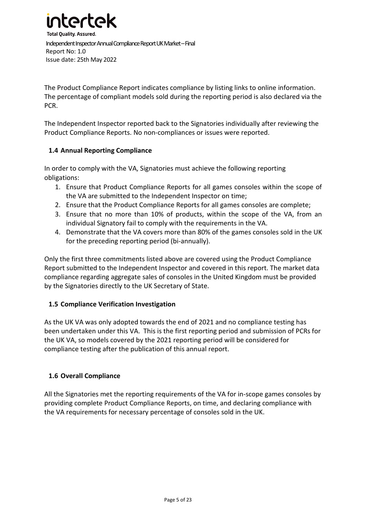

The Product Compliance Report indicates compliance by listing links to online information. The percentage of compliant models sold during the reporting period is also declared via the PCR.

The Independent Inspector reported back to the Signatories individually after reviewing the Product Compliance Reports. No non-compliances or issues were reported.

#### **1.4 Annual Reporting Compliance**

In order to comply with the VA, Signatories must achieve the following reporting obligations:

- 1. Ensure that Product Compliance Reports for all games consoles within the scope of the VA are submitted to the Independent Inspector on time;
- 2. Ensure that the Product Compliance Reports for all games consoles are complete;
- 3. Ensure that no more than 10% of products, within the scope of the VA, from an individual Signatory fail to comply with the requirements in the VA.
- 4. Demonstrate that the VA covers more than 80% of the games consoles sold in the UK for the preceding reporting period (bi-annually).

Only the first three commitments listed above are covered using the Product Compliance Report submitted to the Independent Inspector and covered in this report. The market data compliance regarding aggregate sales of consoles in the United Kingdom must be provided by the Signatories directly to the UK Secretary of State.

#### **1.5 Compliance Verification Investigation**

As the UK VA was only adopted towards the end of 2021 and no compliance testing has been undertaken under this VA. This is the first reporting period and submission of PCRs for the UK VA, so models covered by the 2021 reporting period will be considered for compliance testing after the publication of this annual report.

#### **1.6 Overall Compliance**

All the Signatories met the reporting requirements of the VA for in-scope games consoles by providing complete Product Compliance Reports, on time, and declaring compliance with the VA requirements for necessary percentage of consoles sold in the UK.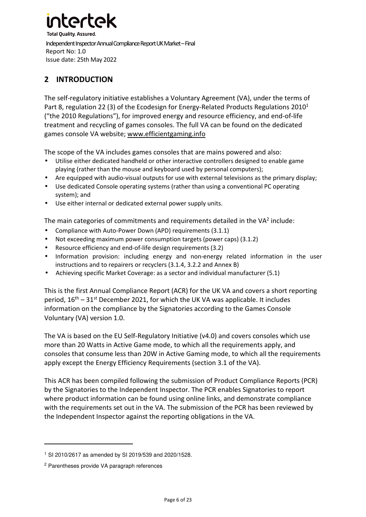### **2 INTRODUCTION**

The self-regulatory initiative establishes a Voluntary Agreement (VA), under the terms of Part 8, regulation 22 (3) of the Ecodesign for Energy-Related Products Regulations  $2010<sup>1</sup>$ ("the 2010 Regulations"), for improved energy and resource efficiency, and end-of-life treatment and recycling of games consoles. The full VA can be found on the dedicated games console VA website; www.efficientgaming.info

The scope of the VA includes games consoles that are mains powered and also:

- Utilise either dedicated handheld or other interactive controllers designed to enable game playing (rather than the mouse and keyboard used by personal computers);
- Are equipped with audio-visual outputs for use with external televisions as the primary display;
- Use dedicated Console operating systems (rather than using a conventional PC operating system); and
- Use either internal or dedicated external power supply units.

The main categories of commitments and requirements detailed in the VA<sup>2</sup> include:

- Compliance with Auto-Power Down (APD) requirements (3.1.1)
- Not exceeding maximum power consumption targets (power caps) (3.1.2)
- Resource efficiency and end-of-life design requirements (3.2)
- Information provision: including energy and non-energy related information in the user instructions and to repairers or recyclers (3.1.4, 3.2.2 and Annex B)
- Achieving specific Market Coverage: as a sector and individual manufacturer (5.1)

This is the first Annual Compliance Report (ACR) for the UK VA and covers a short reporting period,  $16<sup>th</sup> - 31<sup>st</sup>$  December 2021, for which the UK VA was applicable. It includes information on the compliance by the Signatories according to the Games Console Voluntary (VA) version 1.0.

The VA is based on the EU Self-Regulatory Initiative (v4.0) and covers consoles which use more than 20 Watts in Active Game mode, to which all the requirements apply, and consoles that consume less than 20W in Active Gaming mode, to which all the requirements apply except the Energy Efficiency Requirements (section 3.1 of the VA).

This ACR has been compiled following the submission of Product Compliance Reports (PCR) by the Signatories to the Independent Inspector. The PCR enables Signatories to report where product information can be found using online links, and demonstrate compliance with the requirements set out in the VA. The submission of the PCR has been reviewed by the Independent Inspector against the reporting obligations in the VA.

<sup>1</sup> SI 2010/2617 as amended by SI 2019/539 and 2020/1528.

<sup>2</sup> Parentheses provide VA paragraph references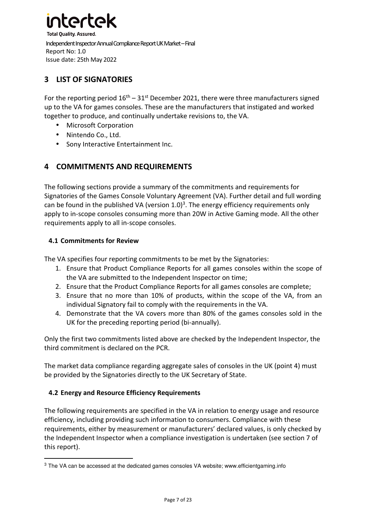

#### **3 LIST OF SIGNATORIES**

For the reporting period  $16<sup>th</sup> - 31<sup>st</sup>$  December 2021, there were three manufacturers signed up to the VA for games consoles. These are the manufacturers that instigated and worked together to produce, and continually undertake revisions to, the VA.

- Microsoft Corporation
- Nintendo Co., Ltd.
- Sony Interactive Entertainment Inc.

#### **4 COMMITMENTS AND REQUIREMENTS**

The following sections provide a summary of the commitments and requirements for Signatories of the Games Console Voluntary Agreement (VA). Further detail and full wording can be found in the published VA (version  $1.0$ )<sup>3</sup>. The energy efficiency requirements only apply to in-scope consoles consuming more than 20W in Active Gaming mode. All the other requirements apply to all in-scope consoles.

#### **4.1 Commitments for Review**

The VA specifies four reporting commitments to be met by the Signatories:

- 1. Ensure that Product Compliance Reports for all games consoles within the scope of the VA are submitted to the Independent Inspector on time;
- 2. Ensure that the Product Compliance Reports for all games consoles are complete;
- 3. Ensure that no more than 10% of products, within the scope of the VA, from an individual Signatory fail to comply with the requirements in the VA.
- 4. Demonstrate that the VA covers more than 80% of the games consoles sold in the UK for the preceding reporting period (bi-annually).

Only the first two commitments listed above are checked by the Independent Inspector, the third commitment is declared on the PCR.

The market data compliance regarding aggregate sales of consoles in the UK (point 4) must be provided by the Signatories directly to the UK Secretary of State.

#### **4.2 Energy and Resource Efficiency Requirements**

The following requirements are specified in the VA in relation to energy usage and resource efficiency, including providing such information to consumers. Compliance with these requirements, either by measurement or manufacturers' declared values, is only checked by the Independent Inspector when a compliance investigation is undertaken (see section 7 of this report).

<sup>&</sup>lt;sup>3</sup> The VA can be accessed at the dedicated games consoles VA website; www.efficientgaming.info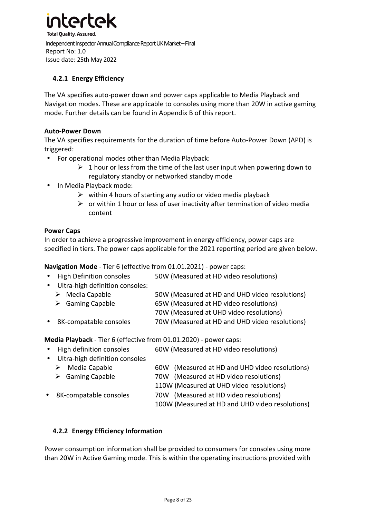

#### **4.2.1 Energy Efficiency**

The VA specifies auto-power down and power caps applicable to Media Playback and Navigation modes. These are applicable to consoles using more than 20W in active gaming mode. Further details can be found in Appendix B of this report.

#### **Auto-Power Down**

The VA specifies requirements for the duration of time before Auto-Power Down (APD) is triggered:

- For operational modes other than Media Playback:
	- $\triangleright$  1 hour or less from the time of the last user input when powering down to regulatory standby or networked standby mode
- In Media Playback mode:
	- $\triangleright$  within 4 hours of starting any audio or video media playback
	- $\triangleright$  or within 1 hour or less of user inactivity after termination of video media content

#### **Power Caps**

In order to achieve a progressive improvement in energy efficiency, power caps are specified in tiers. The power caps applicable for the 2021 reporting period are given below.

**Navigation Mode** - Tier 6 (effective from 01.01.2021) - power caps:

- High Definition consoles 50W (Measured at HD video resolutions)
- Ultra-high definition consoles:
	- Media Capable 50W (Measured at HD and UHD video resolutions)
	- Gaming Capable 65W (Measured at HD video resolutions)
		- 70W (Measured at UHD video resolutions)
- 8K-compatable consoles 70W (Measured at HD and UHD video resolutions)

**Media Playback** - Tier 6 (effective from 01.01.2020) - power caps:

| • High definition consoles       | 60W (Measured at HD video resolutions)         |
|----------------------------------|------------------------------------------------|
| • Ultra-high definition consoles |                                                |
| $\triangleright$ Media Capable   | 60W (Measured at HD and UHD video resolutions) |
| $\triangleright$ Gaming Capable  | 70W (Measured at HD video resolutions)         |
|                                  | 110W (Measured at UHD video resolutions)       |
|                                  |                                                |

- 8K-compatable consoles 70W (Measured at HD video resolutions)
	- 100W (Measured at HD and UHD video resolutions)

#### **4.2.2 Energy Efficiency Information**

Power consumption information shall be provided to consumers for consoles using more than 20W in Active Gaming mode. This is within the operating instructions provided with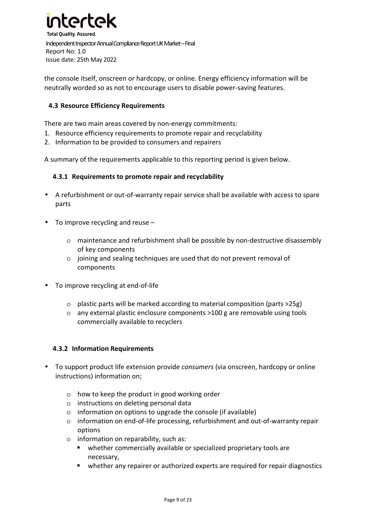

the console itself, onscreen or hardcopy, or online. Energy efficiency information will be neutrally worded so as not to encourage users to disable power-saving features.

#### **4.3 Resource Efficiency Requirements**

There are two main areas covered by non-energy commitments:

- 1. Resource efficiency requirements to promote repair and recyclability
- 2. Information to be provided to consumers and repairers

A summary of the requirements applicable to this reporting period is given below.

#### **4.3.1 Requirements to promote repair and recyclability**

- A refurbishment or out-of-warranty repair service shall be available with access to spare parts
- To improve recycling and reuse
	- o maintenance and refurbishment shall be possible by non-destructive disassembly of key components
	- o joining and sealing techniques are used that do not prevent removal of components
- To improve recycling at end-of-life
	- o plastic parts will be marked according to material composition (parts >25g)
	- o any external plastic enclosure components >100 g are removable using tools commercially available to recyclers

#### **4.3.2 Information Requirements**

- To support product life extension provide *consumers* (via onscreen, hardcopy or online instructions) information on;
	- o how to keep the product in good working order
	- o instructions on deleting personal data
	- o information on options to upgrade the console (if available)
	- o information on end-of-life processing, refurbishment and out-of-warranty repair options
	- o information on reparability, such as:
		- whether commercially available or specialized proprietary tools are necessary,
		- whether any repairer or authorized experts are required for repair diagnostics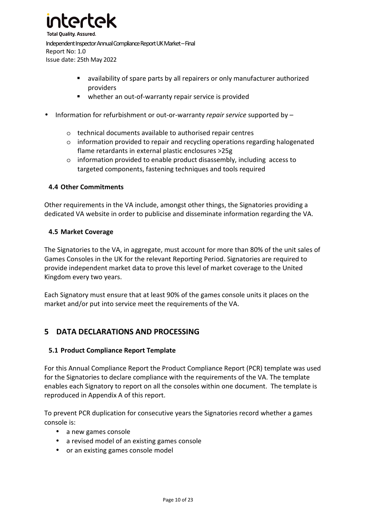

- availability of spare parts by all repairers or only manufacturer authorized providers
- whether an out-of-warranty repair service is provided
- Information for refurbishment or out-or-warranty *repair service* supported by
	- o technical documents available to authorised repair centres
	- o information provided to repair and recycling operations regarding halogenated flame retardants in external plastic enclosures >25g
	- o information provided to enable product disassembly, including access to targeted components, fastening techniques and tools required

#### **4.4 Other Commitments**

Other requirements in the VA include, amongst other things, the Signatories providing a dedicated VA website in order to publicise and disseminate information regarding the VA.

#### **4.5 Market Coverage**

The Signatories to the VA, in aggregate, must account for more than 80% of the unit sales of Games Consoles in the UK for the relevant Reporting Period. Signatories are required to provide independent market data to prove this level of market coverage to the United Kingdom every two years.

Each Signatory must ensure that at least 90% of the games console units it places on the market and/or put into service meet the requirements of the VA.

#### **5 DATA DECLARATIONS AND PROCESSING**

#### **5.1 Product Compliance Report Template**

For this Annual Compliance Report the Product Compliance Report (PCR) template was used for the Signatories to declare compliance with the requirements of the VA. The template enables each Signatory to report on all the consoles within one document. The template is reproduced in Appendix A of this report.

To prevent PCR duplication for consecutive years the Signatories record whether a games console is:

- a new games console
- a revised model of an existing games console
- or an existing games console model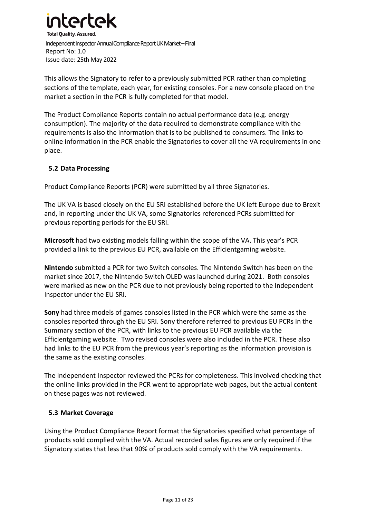

This allows the Signatory to refer to a previously submitted PCR rather than completing sections of the template, each year, for existing consoles. For a new console placed on the market a section in the PCR is fully completed for that model.

The Product Compliance Reports contain no actual performance data (e.g. energy consumption). The majority of the data required to demonstrate compliance with the requirements is also the information that is to be published to consumers. The links to online information in the PCR enable the Signatories to cover all the VA requirements in one place.

#### **5.2 Data Processing**

Product Compliance Reports (PCR) were submitted by all three Signatories.

The UK VA is based closely on the EU SRI established before the UK left Europe due to Brexit and, in reporting under the UK VA, some Signatories referenced PCRs submitted for previous reporting periods for the EU SRI.

**Microsoft** had two existing models falling within the scope of the VA. This year's PCR provided a link to the previous EU PCR, available on the Efficientgaming website.

**Nintendo** submitted a PCR for two Switch consoles. The Nintendo Switch has been on the market since 2017, the Nintendo Switch OLED was launched during 2021. Both consoles were marked as new on the PCR due to not previously being reported to the Independent Inspector under the EU SRI.

**Sony** had three models of games consoles listed in the PCR which were the same as the consoles reported through the EU SRI. Sony therefore referred to previous EU PCRs in the Summary section of the PCR, with links to the previous EU PCR available via the Efficientgaming website. Two revised consoles were also included in the PCR. These also had links to the EU PCR from the previous year's reporting as the information provision is the same as the existing consoles.

The Independent Inspector reviewed the PCRs for completeness. This involved checking that the online links provided in the PCR went to appropriate web pages, but the actual content on these pages was not reviewed.

#### **5.3 Market Coverage**

Using the Product Compliance Report format the Signatories specified what percentage of products sold complied with the VA. Actual recorded sales figures are only required if the Signatory states that less that 90% of products sold comply with the VA requirements.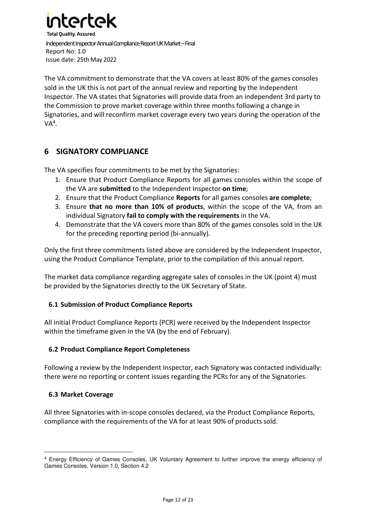

The VA commitment to demonstrate that the VA covers at least 80% of the games consoles sold in the UK this is not part of the annual review and reporting by the Independent Inspector. The VA states that Signatories will provide data from an independent 3rd party to the Commission to prove market coverage within three months following a change in Signatories, and will reconfirm market coverage every two years during the operation of the  $VA<sup>4</sup>$ .

#### **6 SIGNATORY COMPLIANCE**

The VA specifies four commitments to be met by the Signatories:

- 1. Ensure that Product Compliance Reports for all games consoles within the scope of the VA are **submitted** to the Independent Inspector **on time**;
- 2. Ensure that the Product Compliance **Reports** for all games consoles **are complete**;
- 3. Ensure **that no more than 10% of products**, within the scope of the VA, from an individual Signatory **fail to comply with the requirements** in the VA.
- 4. Demonstrate that the VA covers more than 80% of the games consoles sold in the UK for the preceding reporting period (bi-annually).

Only the first three commitments listed above are considered by the Independent Inspector, using the Product Compliance Template, prior to the compilation of this annual report.

The market data compliance regarding aggregate sales of consoles in the UK (point 4) must be provided by the Signatories directly to the UK Secretary of State.

#### **6.1 Submission of Product Compliance Reports**

All initial Product Compliance Reports (PCR) were received by the Independent Inspector within the timeframe given in the VA (by the end of February).

#### **6.2 Product Compliance Report Completeness**

Following a review by the Independent Inspector, each Signatory was contacted individually: there were no reporting or content issues regarding the PCRs for any of the Signatories.

#### **6.3 Market Coverage**

All three Signatories with in-scope consoles declared, via the Product Compliance Reports, compliance with the requirements of the VA for at least 90% of products sold.

<sup>4</sup> Energy Efficiency of Games Consoles, UK Voluntary Agreement to further improve the energy efficiency of Games Consoles, Version 1.0, Section 4.2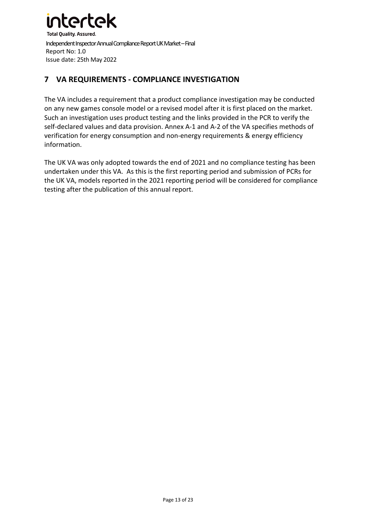

#### **7 VA REQUIREMENTS - COMPLIANCE INVESTIGATION**

The VA includes a requirement that a product compliance investigation may be conducted on any new games console model or a revised model after it is first placed on the market. Such an investigation uses product testing and the links provided in the PCR to verify the self-declared values and data provision. Annex A-1 and A-2 of the VA specifies methods of verification for energy consumption and non-energy requirements & energy efficiency information.

The UK VA was only adopted towards the end of 2021 and no compliance testing has been undertaken under this VA. As this is the first reporting period and submission of PCRs for the UK VA, models reported in the 2021 reporting period will be considered for compliance testing after the publication of this annual report.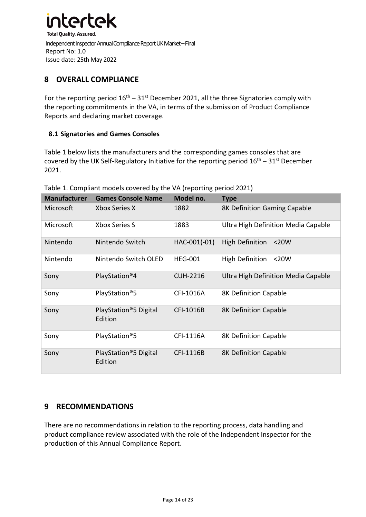

#### **8 OVERALL COMPLIANCE**

For the reporting period  $16<sup>th</sup> - 31<sup>st</sup>$  December 2021, all the three Signatories comply with the reporting commitments in the VA, in terms of the submission of Product Compliance Reports and declaring market coverage.

#### **8.1 Signatories and Games Consoles**

Table 1 below lists the manufacturers and the corresponding games consoles that are covered by the UK Self-Regulatory Initiative for the reporting period  $16<sup>th</sup> - 31<sup>st</sup>$  December 2021.

| <b>Manufacturer</b> | <b>Games Console Name</b>        | Model no.       | <b>Type</b>                         |
|---------------------|----------------------------------|-----------------|-------------------------------------|
| Microsoft           | Xbox Series X                    | 1882            | 8K Definition Gaming Capable        |
| Microsoft           | <b>Xbox Series S</b>             | 1883            | Ultra High Definition Media Capable |
| Nintendo            | Nintendo Switch                  | HAC-001(-01)    | <b>High Definition</b><br>$<$ 20W   |
| Nintendo            | Nintendo Switch OLED             | <b>HEG-001</b>  | High Definition<br>$<$ 20W          |
| Sony                | PlayStation <sup>®</sup> 4       | <b>CUH-2216</b> | Ultra High Definition Media Capable |
| Sony                | PlayStation®5                    | CFI-1016A       | 8K Definition Capable               |
| Sony                | PlayStation®5 Digital<br>Edition | CFI-1016B       | 8K Definition Capable               |
| Sony                | PlayStation <sup>®</sup> 5       | CFI-1116A       | 8K Definition Capable               |
| Sony                | PlayStation®5 Digital<br>Edition | CFI-1116B       | 8K Definition Capable               |

#### Table 1. Compliant models covered by the VA (reporting period 2021)

#### **9 RECOMMENDATIONS**

There are no recommendations in relation to the reporting process, data handling and product compliance review associated with the role of the Independent Inspector for the production of this Annual Compliance Report.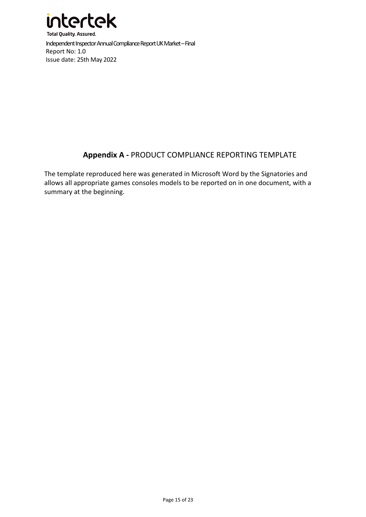

#### **Appendix A -** PRODUCT COMPLIANCE REPORTING TEMPLATE

The template reproduced here was generated in Microsoft Word by the Signatories and allows all appropriate games consoles models to be reported on in one document, with a summary at the beginning.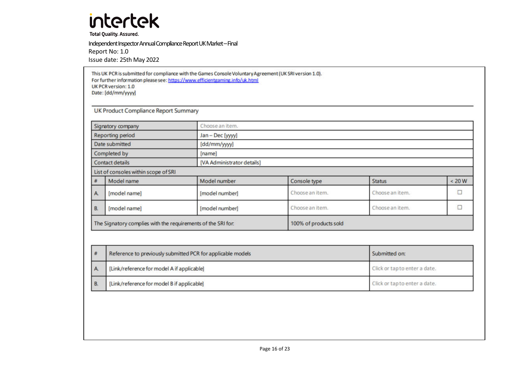**Total Quality. Assured.** 

Independent Inspector Annual Compliance Report UK Market – Final Report No: 1.0 Issue date: 25th May 2022

This UK PCR is submitted for compliance with the Games Console Voluntary Agreement (UK SRI version 1.0). For further information please see: https://www.efficientgaming.info/uk.html UK PCR version: 1.0 Date: [dd/mm/yyyy]

**UK Product Compliance Report Summary** 

| The Signatory complies with the requirements of the SRI for: |                                      | 100% of products sold      |                 |                 |        |  |  |
|--------------------------------------------------------------|--------------------------------------|----------------------------|-----------------|-----------------|--------|--|--|
| B.                                                           | [model name]                         | [model number]             | Choose an item. | Choose an item. |        |  |  |
| A.                                                           | [model name]                         | [model number]             | Choose an item. | Choose an item. |        |  |  |
|                                                              | Model name                           | Model number               | Console type    | <b>Status</b>   | < 20 W |  |  |
|                                                              | List of consoles within scope of SRI |                            |                 |                 |        |  |  |
| <b>Contact details</b>                                       |                                      | [VA Administrator details] |                 |                 |        |  |  |
| Completed by                                                 |                                      | [name]                     |                 |                 |        |  |  |
|                                                              | Date submitted                       | [dd/mm/yyyy]               |                 |                 |        |  |  |
|                                                              | <b>Reporting period</b>              | Jan - Dec [yyyy]           |                 |                 |        |  |  |
| Choose an item.<br>Signatory company                         |                                      |                            |                 |                 |        |  |  |

| #  | Reference to previously submitted PCR for applicable models | Submitted on:                 |
|----|-------------------------------------------------------------|-------------------------------|
| A. | [Link/reference for model A if applicable]                  | Click or tap to enter a date. |
| B. | [Link/reference for model B if applicable]                  | Click or tap to enter a date. |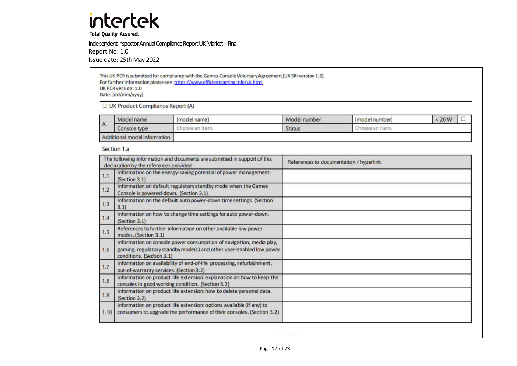**Total Quality. Assured.** 

Independent Inspector Annual Compliance Report UK Market – Final

Report No: 1.0

Issue date: 25th May 2022

This UK PCR is submitted for compliance with the Games Console Voluntary Agreement (UK SRI version 1.0). For further information please see: https://www.efficientgaming.info/uk.html UK PCR version: 1.0 Date: [dd/mm/yyyy] UK Product Compliance Report (A)

|                              | Model name   | [model name]    | Model number  | [model number]  | 20 W |  |
|------------------------------|--------------|-----------------|---------------|-----------------|------|--|
|                              | Console type | "hoose an item. | <b>Status</b> | Thoose an item. |      |  |
| Additional model information |              |                 |               |                 |      |  |

Section 1.a

|      | The following information and documents are submitted in support of this<br>declaration by the references provided                                                      | References to documentation / hyperlink |
|------|-------------------------------------------------------------------------------------------------------------------------------------------------------------------------|-----------------------------------------|
| 1.1  | Information on the energy-saving potential of power management.<br>(Section 3.1)                                                                                        |                                         |
| 1.2  | Information on default regulatory standby mode when the Games<br>Console is powered-down. (Section 3.1)                                                                 |                                         |
| 1.3  | Information on the default auto power-down time settings. (Section<br>3.1                                                                                               |                                         |
| 1.4  | Information on how to change time settings for auto power-down.<br>(Section 3.1)                                                                                        |                                         |
| 1.5  | References to further information on other available low power<br>modes. (Section 3.1)                                                                                  |                                         |
| 1.6  | Information on console power consumption of navigation, media play,<br>gaming, regulatory standby mode(s) and other user-enabled low power<br>conditions. (Section 3.1) |                                         |
| 1.7  | Information on availability of end-of-life processing, refurbishment,<br>out-of-warranty services. (Section 3.2)                                                        |                                         |
| 1.8  | Information on product life extension: explanation on how to keep the<br>consoles in good working condition. (Section 3.2)                                              |                                         |
| 1.9  | Information on product life extension: how to delete personal data.<br>(Section 3.2)                                                                                    |                                         |
| 1.10 | Information on product life extension: options available (if any) to<br>consumers to upgrade the performance of their consoles. (Section 3.2)                           |                                         |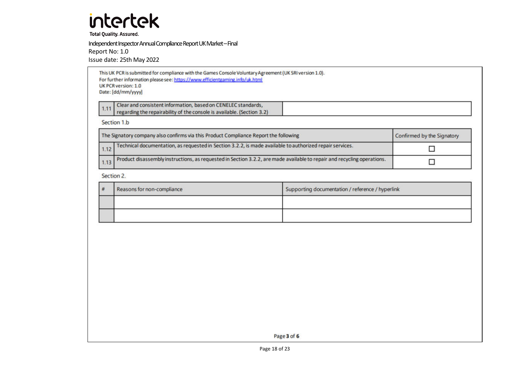**Total Quality. Assured.** 

Independent Inspector Annual Compliance Report UK Market – Final

Report No: 1.0

Issue date: 25th May 2022

|      | This UK PCR is submitted for compliance with the Games Console Voluntary Agreement (UK SRI version 1.0).<br>For further information please see: https://www.efficientgaming.info/uk.html<br>UK PCR version: 1.0<br>Date: [dd/mm/yyyy] |                            |
|------|---------------------------------------------------------------------------------------------------------------------------------------------------------------------------------------------------------------------------------------|----------------------------|
| 1.11 | Clear and consistent information, based on CENELEC standards,<br>regarding the repairability of the console is available. (Section 3.2)                                                                                               |                            |
|      | Section 1.b                                                                                                                                                                                                                           |                            |
|      | The Signatory company also confirms via this Product Compliance Report the following                                                                                                                                                  | Confirmed by the Signatory |
| 112  | Technical documentation, as requested in Section 3.2.2, is made available to authorized repair services.                                                                                                                              |                            |

Product disassembly instructions, as requested in Section 3.2.2, are made available to repair and recycling operations.  $\Box$  $1.13$ 

Section 2.

| Reasons for non-compliance | Supporting documentation / reference / hyperlink |
|----------------------------|--------------------------------------------------|
|                            |                                                  |
|                            |                                                  |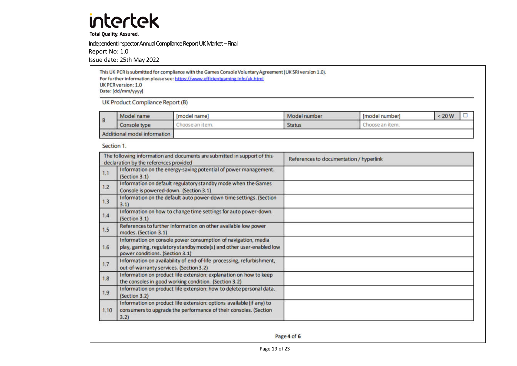**Total Quality. Assured.** 

Independent Inspector Annual Compliance Report UK Market – Final

Report No: 1.0

Issue date: 25th May 2022

This UK PCR is submitted for compliance with the Games Console Voluntary Agreement (UK SRI version 1.0). For further information please see: https://www.efficientgaming.info/uk.html **UK PCR version: 1.0** Date: [dd/mm/yyyy]

**UK Product Compliance Report (B)** 

|                              | Model name      | Imodel name      | Model number  | Imodel number             | 20 W | <b>STATES</b> |
|------------------------------|-----------------|------------------|---------------|---------------------------|------|---------------|
| l B                          | type<br>console | iten<br>hoose an | <b>Status</b> | noose an item<br>The con- |      |               |
| Additional model information |                 |                  |               |                           |      |               |

Section 1.

|      | The following information and documents are submitted in support of this<br>declaration by the references provided                                                      | References to documentation / hyperlink |
|------|-------------------------------------------------------------------------------------------------------------------------------------------------------------------------|-----------------------------------------|
| 1.1  | Information on the energy-saving potential of power management.<br>(Section 3.1)                                                                                        |                                         |
| 1.2  | Information on default regulatory standby mode when the Games<br>Console is powered-down. (Section 3.1)                                                                 |                                         |
| 1.3  | Information on the default auto power-down time settings. (Section<br>3.1)                                                                                              |                                         |
| 1.4  | Information on how to change time settings for auto power-down.<br>(Section 3.1)                                                                                        |                                         |
| 1.5  | References to further information on other available low power<br>modes. (Section 3.1)                                                                                  |                                         |
| 1.6  | Information on console power consumption of navigation, media<br>play, gaming, regulatory standby mode(s) and other user-enabled low<br>power conditions. (Section 3.1) |                                         |
| 1.7  | Information on availability of end-of-life processing, refurbishment,<br>out-of-warranty services. (Section 3.2)                                                        |                                         |
| 1.8  | Information on product life extension: explanation on how to keep<br>the consoles in good working condition. (Section 3.2)                                              |                                         |
| 1.9  | Information on product life extension: how to delete personal data.<br>(Section 3.2)                                                                                    |                                         |
| 1.10 | Information on product life extension: options available (if any) to<br>consumers to upgrade the performance of their consoles. (Section<br>3.2)                        |                                         |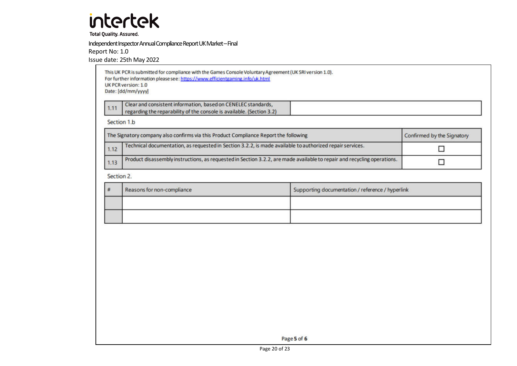**Total Quality. Assured.** 

Independent Inspector Annual Compliance Report UK Market – Final

Report No: 1.0

Issue date: 25th May 2022

|      | This UK PCR is submitted for compliance with the Games Console Voluntary Agreement (UK SRI version 1.0).<br>For further information please see: https://www.efficientgaming.info/uk.html<br>UK PCR version: 1.0<br>Date: [dd/mm/yyyy] |                            |  |  |  |  |
|------|---------------------------------------------------------------------------------------------------------------------------------------------------------------------------------------------------------------------------------------|----------------------------|--|--|--|--|
| 1.11 | Clear and consistent information, based on CENELEC standards,<br>regarding the reparability of the console is available. (Section 3.2)                                                                                                |                            |  |  |  |  |
|      | Section 1.b                                                                                                                                                                                                                           |                            |  |  |  |  |
|      | The Signatory company also confirms via this Product Compliance Report the following                                                                                                                                                  | Confirmed by the Signatory |  |  |  |  |
| 1.12 | Technical documentation, as requested in Section 3.2.2, is made available to authorized repair services.                                                                                                                              |                            |  |  |  |  |
| 1.13 | Product disassembly instructions, as requested in Section 3.2.2, are made available to repair and recycling operations.                                                                                                               |                            |  |  |  |  |

Section 2.

| Reasons for non-compliance | Supporting documentation / reference / hyperlink |
|----------------------------|--------------------------------------------------|
|                            |                                                  |
|                            |                                                  |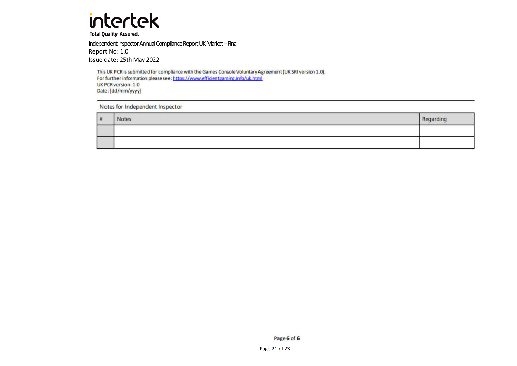**Total Quality. Assured.** 

Independent Inspector Annual Compliance Report UK Market – Final

Report No: 1.0

Issue date: 25th May 2022

This UK PCR is submitted for compliance with the Games Console Voluntary Agreement (UK SRI version 1.0). For further information please see: https://www.efficientgaming.info/uk.html UK PCR version: 1.0 Date: [dd/mm/yyyy]

Notes for Independent Inspector

 $#$ Notes Regarding

Page 6 of 6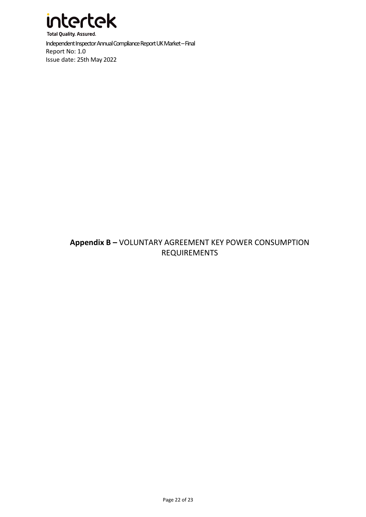

#### **Appendix B –** VOLUNTARY AGREEMENT KEY POWER CONSUMPTION REQUIREMENTS